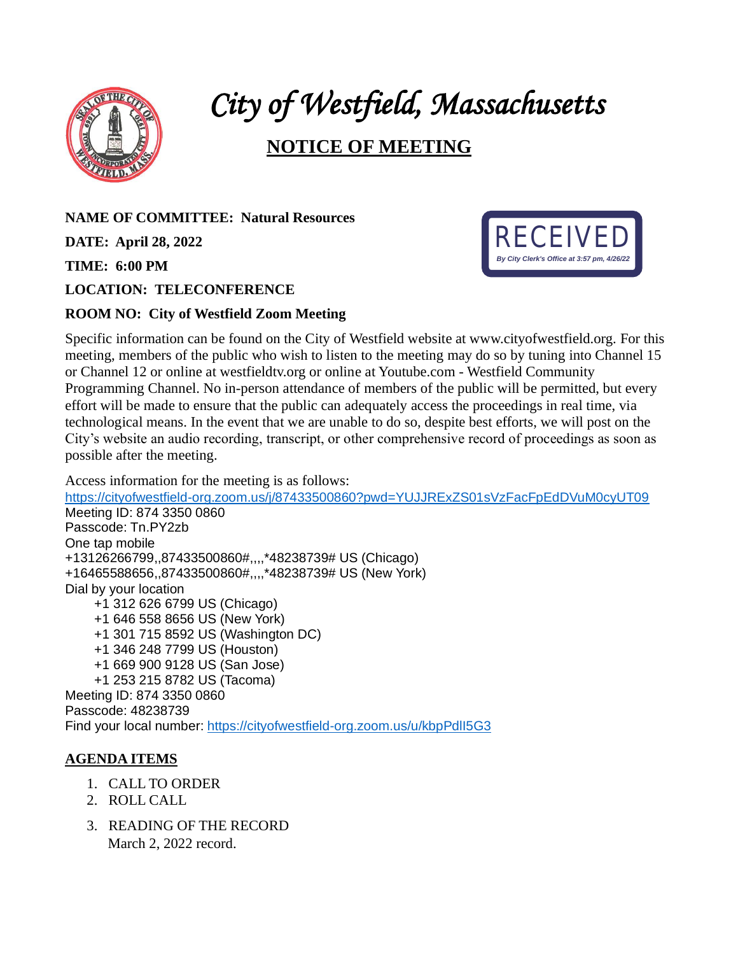

# *City of Westfield, Massachusetts*

## **NOTICE OF MEETING**

## **NAME OF COMMITTEE: Natural Resources**

**DATE: April 28, 2022**

**TIME: 6:00 PM**

### **LOCATION: TELECONFERENCE**

### **ROOM NO: City of Westfield Zoom Meeting**



Specific information can be found on the City of Westfield website at www.cityofwestfield.org. For this meeting, members of the public who wish to listen to the meeting may do so by tuning into Channel 15 or Channel 12 or online at westfieldtv.org or online at Youtube.com - Westfield Community Programming Channel. No in-person attendance of members of the public will be permitted, but every effort will be made to ensure that the public can adequately access the proceedings in real time, via technological means. In the event that we are unable to do so, despite best efforts, we will post on the City's website an audio recording, transcript, or other comprehensive record of proceedings as soon as possible after the meeting.

Access information for the meeting is as follows: <https://cityofwestfield-org.zoom.us/j/87433500860?pwd=YUJJRExZS01sVzFacFpEdDVuM0cyUT09> Meeting ID: 874 3350 0860 Passcode: Tn.PY2zb One tap mobile +13126266799,,87433500860#,,,,\*48238739# US (Chicago) +16465588656,,87433500860#,,,,\*48238739# US (New York) Dial by your location +1 312 626 6799 US (Chicago) +1 646 558 8656 US (New York) +1 301 715 8592 US (Washington DC) +1 346 248 7799 US (Houston) +1 669 900 9128 US (San Jose) +1 253 215 8782 US (Tacoma) Meeting ID: 874 3350 0860 Passcode: 48238739 Find your local number:<https://cityofwestfield-org.zoom.us/u/kbpPdlI5G3>

### **AGENDA ITEMS**

- 1. CALL TO ORDER
- 2. ROLL CALL
- 3. READING OF THE RECORD March 2, 2022 record.